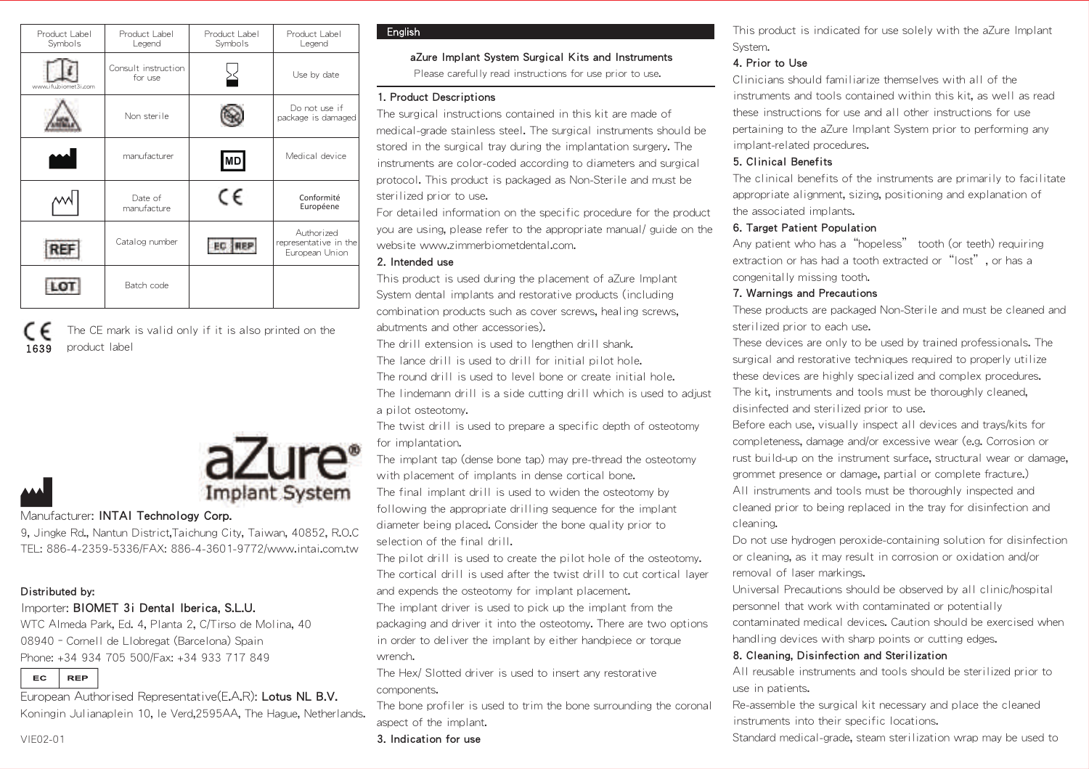| Product Label<br>Symbols | Product Label<br>Legend        | Product Label<br>Symbols | Product Label<br>Legend                               |
|--------------------------|--------------------------------|--------------------------|-------------------------------------------------------|
| www.ifubiomet3i.com      | Consult instruction<br>for use |                          | Use by date                                           |
|                          | Non sterile                    |                          | Do not use if<br>package is damaged                   |
|                          | manufacturer                   | MD                       | Medical device                                        |
|                          | Date of<br>manufacture         | C€                       | Conformité<br>Européene                               |
| REF                      | Catalog number                 |                          | Authorized<br>representative in the<br>European Union |
|                          | Batch code                     |                          |                                                       |

1639 The CE mark is valid only if it is also printed on the product label



### Manufacturer: **INTAI Technology Corp.**

9, Jingke Rd., Nantun District,Taichung City, Taiwan, 40852, R.O.C TEL: 886-4-2359-5336/FAX: 886-4-3601-9772/www.intai.com.tw

### Distributed by:

### Importer: BIOMET 3i Dental Iberica, S.L.U.

WTC Almeda Park, Ed. 4, Planta 2, C/Tirso de Molina, 40 08940–Cornell de Llobregat (Barcelona) Spain Phone: +34 934 705 500/Fax: +34 933 717 849

EC **REP** 

European Authorised Representative(E.A.R): Lotus NL B.V. Koningin Julianaplein 10, le Verd,2595AA, The Hague, Netherlands.

# **Fnalish**

# aZure Implant System Surgical Kits and Instruments

Please carefully read instructions for use prior to use.

## 1. Product Descriptions

The surgical instructions contained in this kit are made of medical-grade stainless steel. The surgical instruments should be stored in the surgical tray during the implantation surgery. The instruments are color-coded according to diameters and surgical protocol. This product is packaged as Non-Sterile and must be sterilized prior to use.

For detailed information on the specific procedure for the product you are using, please refer to the appropriate manual/ guide on the website www.zimmerbiometdental.com.

### 2. Intended use

This product is used during the placement of aZure Implant System dental implants and restorative products (including combination products such as cover screws, healing screws, abutments and other accessories).

The drill extension is used to lengthen drill shank.

The lance drill is used to drill for initial pilot hole.

The round drill is used to level bone or create initial hole.

The lindemann drill is a side cutting drill which is used to adjust a pilot osteotomy.

The twist drill is used to prepare a specific depth of osteotomy for implantation.

The implant tap (dense bone tap) may pre-thread the osteotomy with placement of implants in dense cortical bone.

The final implant drill is used to widen the osteotomy by following the appropriate drilling sequence for the implant diameter being placed. Consider the bone quality prior to selection of the final drill.

The pilot drill is used to create the pilot hole of the osteotomy. The cortical drill is used after the twist drill to cut cortical layer and expends the osteotomy for implant placement.

The implant driver is used to pick up the implant from the packaging and driver it into the osteotomy. There are two options in order to deliver the implant by either handpiece or torque wrench.

The Hex/ Slotted driver is used to insert any restorative components.

The bone profiler is used to trim the bone surrounding the coronal aspect of the implant.

3. Indication for use

This product is indicated for use solely with the aZure Implant System.

# 4. Prior to Use

Clinicians should familiarize themselves with all of the instruments and tools contained within this kit, as well as read these instructions for use and all other instructions for use pertaining to the aZure Implant System prior to performing any implant-related procedures.

# 5. Clinical Benefits

The clinical benefits of the instruments are primarily to facilitate appropriate alignment, sizing, positioning and explanation of the associated implants.

# 6. Target Patient Population

Any patient who has a"hopeless" tooth (or teeth) requiring extraction or has had a tooth extracted or "lost", or has a congenitally missing tooth.

# 7. Warnings and Precautions

These products are packaged Non-Sterile and must be cleaned and sterilized prior to each use.

These devices are only to be used by trained professionals. The surgical and restorative techniques required to properly utilize these devices are highly specialized and complex procedures. The kit, instruments and tools must be thoroughly cleaned, disinfected and sterilized prior to use.

Before each use, visually inspect all devices and trays/kits for completeness, damage and/or excessive wear (e.g. Corrosion or rust build-up on the instrument surface, structural wear or damage, grommet presence or damage, partial or complete fracture.) All instruments and tools must be thoroughly inspected and cleaned prior to being replaced in the tray for disinfection and cleaning.

Do not use hydrogen peroxide-containing solution for disinfection or cleaning, as it may result in corrosion or oxidation and/or removal of laser markings.

Universal Precautions should be observed by all clinic/hospital personnel that work with contaminated or potentially contaminated medical devices. Caution should be exercised when handling devices with sharp points or cutting edges.

### 8. Cleaning, Disinfection and Sterilization

All reusable instruments and tools should be sterilized prior to use in patients.

Re-assemble the surgical kit necessary and place the cleaned instruments into their specific locations.

Standard medical-grade, steam sterilization wrap may be used to